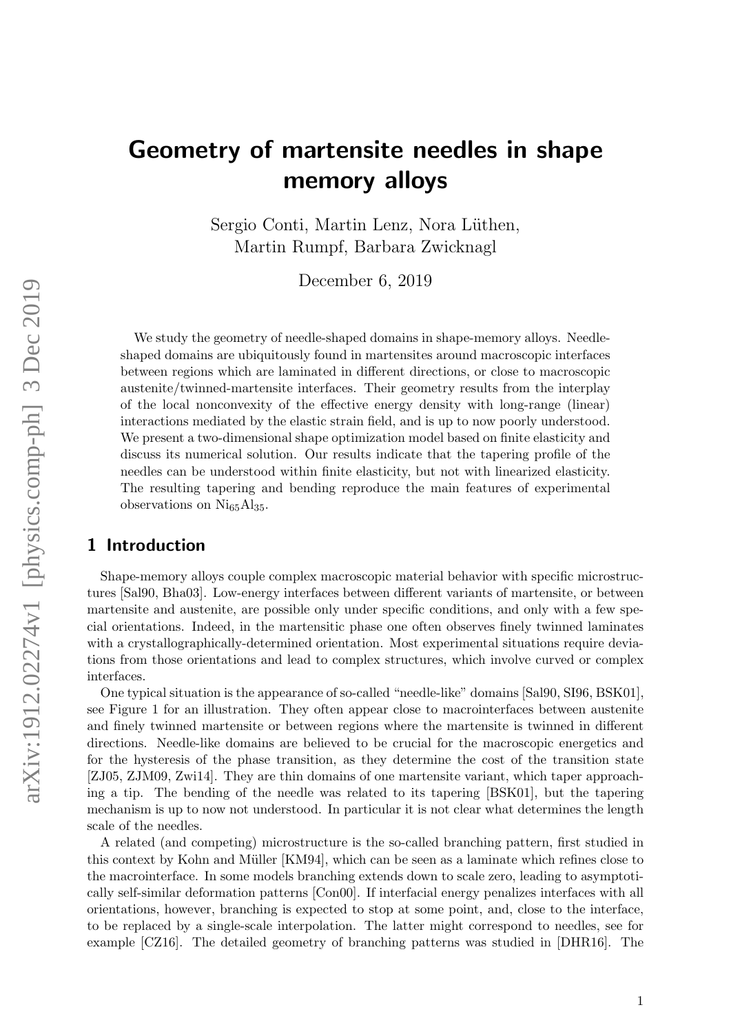# Geometry of martensite needles in shape memory alloys

Sergio Conti, Martin Lenz, Nora Lüthen, Martin Rumpf, Barbara Zwicknagl

December 6, 2019

We study the geometry of needle-shaped domains in shape-memory alloys. Needleshaped domains are ubiquitously found in martensites around macroscopic interfaces between regions which are laminated in different directions, or close to macroscopic austenite/twinned-martensite interfaces. Their geometry results from the interplay of the local nonconvexity of the effective energy density with long-range (linear) interactions mediated by the elastic strain field, and is up to now poorly understood. We present a two-dimensional shape optimization model based on finite elasticity and discuss its numerical solution. Our results indicate that the tapering profile of the needles can be understood within finite elasticity, but not with linearized elasticity. The resulting tapering and bending reproduce the main features of experimental observations on  $Ni_{65}Al_{35}$ .

## 1 Introduction

Shape-memory alloys couple complex macroscopic material behavior with specific microstructures [Sal90, Bha03]. Low-energy interfaces between different variants of martensite, or between martensite and austenite, are possible only under specific conditions, and only with a few special orientations. Indeed, in the martensitic phase one often observes finely twinned laminates with a crystallographically-determined orientation. Most experimental situations require deviations from those orientations and lead to complex structures, which involve curved or complex interfaces.

One typical situation is the appearance of so-called "needle-like" domains [Sal90, SI96, BSK01], see Figure 1 for an illustration. They often appear close to macrointerfaces between austenite and finely twinned martensite or between regions where the martensite is twinned in different directions. Needle-like domains are believed to be crucial for the macroscopic energetics and for the hysteresis of the phase transition, as they determine the cost of the transition state [ZJ05, ZJM09, Zwi14]. They are thin domains of one martensite variant, which taper approaching a tip. The bending of the needle was related to its tapering [BSK01], but the tapering mechanism is up to now not understood. In particular it is not clear what determines the length scale of the needles.

A related (and competing) microstructure is the so-called branching pattern, first studied in this context by Kohn and Müller [KM94], which can be seen as a laminate which refines close to the macrointerface. In some models branching extends down to scale zero, leading to asymptotically self-similar deformation patterns [Con00]. If interfacial energy penalizes interfaces with all orientations, however, branching is expected to stop at some point, and, close to the interface, to be replaced by a single-scale interpolation. The latter might correspond to needles, see for example [CZ16]. The detailed geometry of branching patterns was studied in [DHR16]. The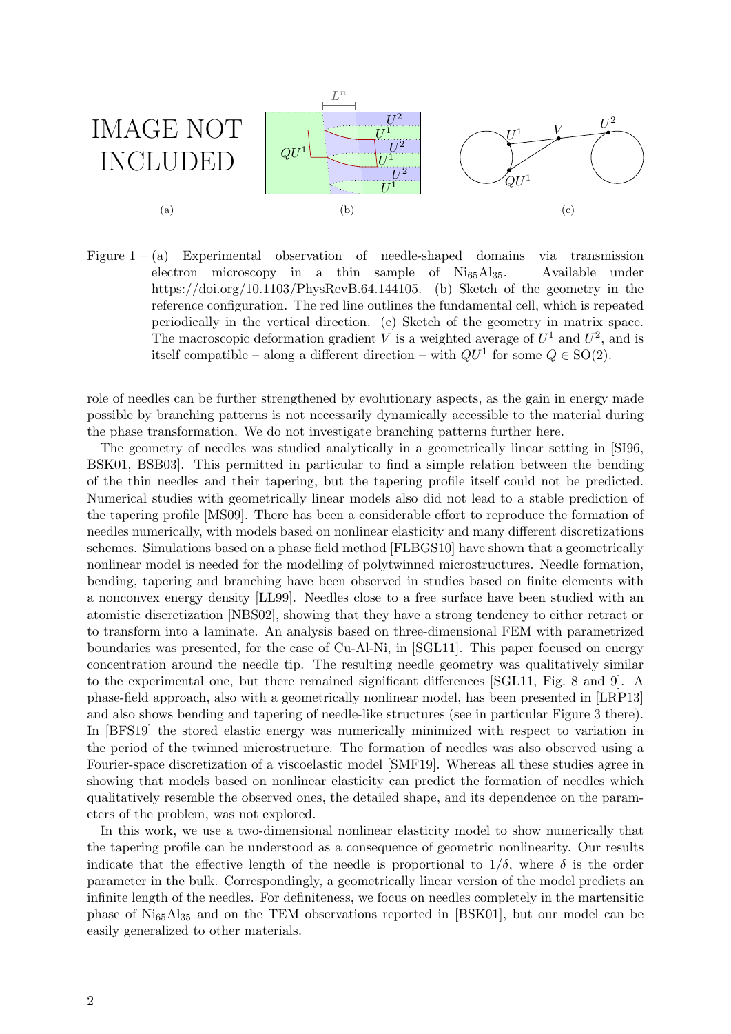

Figure  $1 - (a)$  Experimental observation of needle-shaped domains via transmission electron microscopy in a thin sample of Ni65Al35. Available under https://doi.org/10.1103/PhysRevB.64.144105. (b) Sketch of the geometry in the reference configuration. The red line outlines the fundamental cell, which is repeated periodically in the vertical direction. (c) Sketch of the geometry in matrix space. The macroscopic deformation gradient V is a weighted average of  $U^1$  and  $U^2$ , and is itself compatible – along a different direction – with  $QU^1$  for some  $Q \in SO(2)$ .

role of needles can be further strengthened by evolutionary aspects, as the gain in energy made possible by branching patterns is not necessarily dynamically accessible to the material during the phase transformation. We do not investigate branching patterns further here.

The geometry of needles was studied analytically in a geometrically linear setting in [SI96, BSK01, BSB03]. This permitted in particular to find a simple relation between the bending of the thin needles and their tapering, but the tapering profile itself could not be predicted. Numerical studies with geometrically linear models also did not lead to a stable prediction of the tapering profile [MS09]. There has been a considerable effort to reproduce the formation of needles numerically, with models based on nonlinear elasticity and many different discretizations schemes. Simulations based on a phase field method [FLBGS10] have shown that a geometrically nonlinear model is needed for the modelling of polytwinned microstructures. Needle formation, bending, tapering and branching have been observed in studies based on finite elements with a nonconvex energy density [LL99]. Needles close to a free surface have been studied with an atomistic discretization [NBS02], showing that they have a strong tendency to either retract or to transform into a laminate. An analysis based on three-dimensional FEM with parametrized boundaries was presented, for the case of Cu-Al-Ni, in [SGL11]. This paper focused on energy concentration around the needle tip. The resulting needle geometry was qualitatively similar to the experimental one, but there remained significant differences [SGL11, Fig. 8 and 9]. A phase-field approach, also with a geometrically nonlinear model, has been presented in [LRP13] and also shows bending and tapering of needle-like structures (see in particular Figure 3 there). In [BFS19] the stored elastic energy was numerically minimized with respect to variation in the period of the twinned microstructure. The formation of needles was also observed using a Fourier-space discretization of a viscoelastic model [SMF19]. Whereas all these studies agree in showing that models based on nonlinear elasticity can predict the formation of needles which qualitatively resemble the observed ones, the detailed shape, and its dependence on the parameters of the problem, was not explored.

In this work, we use a two-dimensional nonlinear elasticity model to show numerically that the tapering profile can be understood as a consequence of geometric nonlinearity. Our results indicate that the effective length of the needle is proportional to  $1/\delta$ , where  $\delta$  is the order parameter in the bulk. Correspondingly, a geometrically linear version of the model predicts an infinite length of the needles. For definiteness, we focus on needles completely in the martensitic phase of  $Ni_{65}Al_{35}$  and on the TEM observations reported in [BSK01], but our model can be easily generalized to other materials.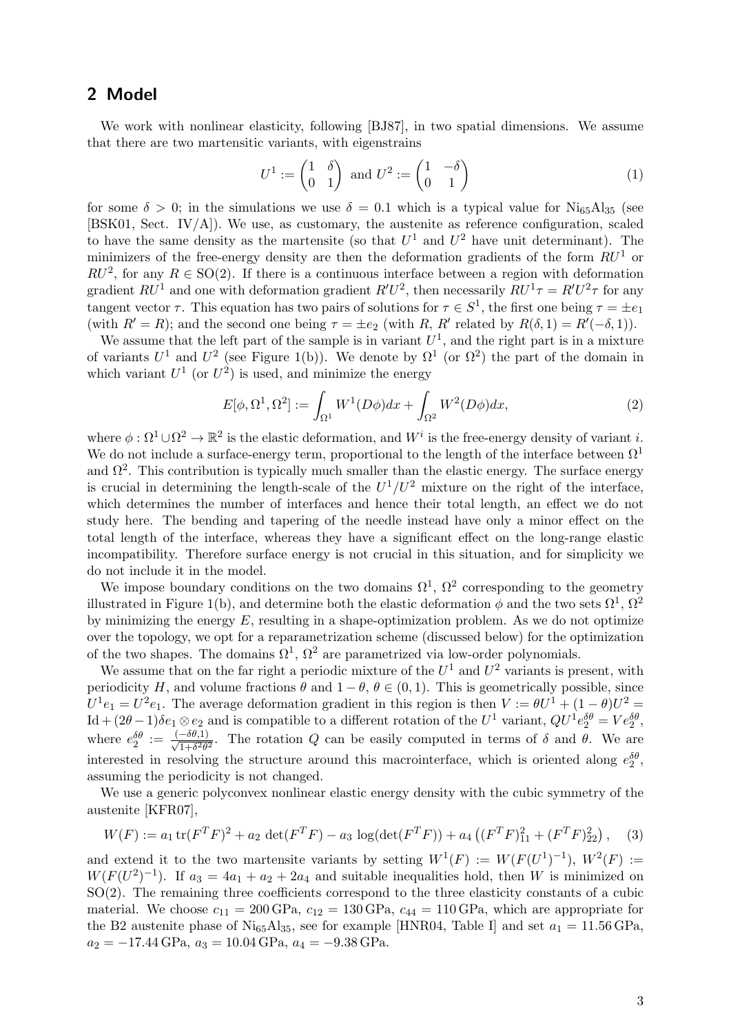## 2 Model

We work with nonlinear elasticity, following [BJ87], in two spatial dimensions. We assume that there are two martensitic variants, with eigenstrains

$$
U^{1} := \begin{pmatrix} 1 & \delta \\ 0 & 1 \end{pmatrix} \text{ and } U^{2} := \begin{pmatrix} 1 & -\delta \\ 0 & 1 \end{pmatrix}
$$
 (1)

for some  $\delta > 0$ ; in the simulations we use  $\delta = 0.1$  which is a typical value for Ni<sub>65</sub>Al<sub>35</sub> (see [BSK01, Sect. IV/A]). We use, as customary, the austenite as reference configuration, scaled to have the same density as the martensite (so that  $U^1$  and  $U^2$  have unit determinant). The minimizers of the free-energy density are then the deformation gradients of the form  $RU<sup>1</sup>$  or  $RU^2$ , for any  $R \in SO(2)$ . If there is a continuous interface between a region with deformation gradient  $RU^1$  and one with deformation gradient  $R'U^2$ , then necessarily  $RU^1\tau = R'U^2\tau$  for any tangent vector  $\tau$ . This equation has two pairs of solutions for  $\tau \in S^1$ , the first one being  $\tau = \pm e_1$ (with  $R' = R$ ); and the second one being  $\tau = \pm e_2$  (with R, R' related by  $R(\delta, 1) = R'(-\delta, 1)$ ).

We assume that the left part of the sample is in variant  $U^1$ , and the right part is in a mixture of variants  $U^1$  and  $U^2$  (see Figure 1(b)). We denote by  $\Omega^1$  (or  $\Omega^2$ ) the part of the domain in which variant  $U^1$  (or  $U^2$ ) is used, and minimize the energy

$$
E[\phi, \Omega^1, \Omega^2] := \int_{\Omega^1} W^1(D\phi) dx + \int_{\Omega^2} W^2(D\phi) dx,
$$
\n(2)

where  $\phi : \Omega^1 \cup \Omega^2 \to \mathbb{R}^2$  is the elastic deformation, and  $W^i$  is the free-energy density of variant i. We do not include a surface-energy term, proportional to the length of the interface between  $\Omega^1$ and  $\Omega^2$ . This contribution is typically much smaller than the elastic energy. The surface energy is crucial in determining the length-scale of the  $U^1/U^2$  mixture on the right of the interface, which determines the number of interfaces and hence their total length, an effect we do not study here. The bending and tapering of the needle instead have only a minor effect on the total length of the interface, whereas they have a significant effect on the long-range elastic incompatibility. Therefore surface energy is not crucial in this situation, and for simplicity we do not include it in the model.

We impose boundary conditions on the two domains  $\Omega^1$ ,  $\Omega^2$  corresponding to the geometry illustrated in Figure 1(b), and determine both the elastic deformation  $\phi$  and the two sets  $\Omega^1$ ,  $\Omega^2$ by minimizing the energy  $E$ , resulting in a shape-optimization problem. As we do not optimize over the topology, we opt for a reparametrization scheme (discussed below) for the optimization of the two shapes. The domains  $\Omega^1$ ,  $\Omega^2$  are parametrized via low-order polynomials.

We assume that on the far right a periodic mixture of the  $U^1$  and  $U^2$  variants is present, with periodicity H, and volume fractions  $\theta$  and  $1 - \theta$ ,  $\theta \in (0, 1)$ . This is geometrically possible, since  $U^1e_1 = U^2e_1$ . The average deformation gradient in this region is then  $V := \theta U^1 + (1 - \theta)U^2 =$  $\mathrm{Id} + (2\theta - 1)\delta e_1 \otimes e_2$  and is compatible to a different rotation of the  $U^1$  variant,  $QU^1 e_2^{\delta \theta} = V e_2^{\delta \theta}$ , where  $e_2^{\delta\theta} := \frac{(-\delta\theta,1)}{\sqrt{1+\delta^2\theta^2}}$ . The rotation Q can be easily computed in terms of  $\delta$  and  $\theta$ . We are interested in resolving the structure around this macrointerface, which is oriented along  $e_2^{\delta\theta}$ , assuming the periodicity is not changed.

We use a generic polyconvex nonlinear elastic energy density with the cubic symmetry of the austenite [KFR07],

$$
W(F) := a_1 \operatorname{tr}(F^T F)^2 + a_2 \operatorname{det}(F^T F) - a_3 \operatorname{log}(\operatorname{det}(F^T F)) + a_4 \left( (F^T F)_{11}^2 + (F^T F)_{22}^2 \right), \quad (3)
$$

and extend it to the two martensite variants by setting  $W^1(F) := W(F(U^1)^{-1}), W^2(F) :=$  $W(F(U^2)^{-1})$ . If  $a_3 = 4a_1 + a_2 + 2a_4$  and suitable inequalities hold, then W is minimized on SO(2). The remaining three coefficients correspond to the three elasticity constants of a cubic material. We choose  $c_{11} = 200 \text{ GPa}$ ,  $c_{12} = 130 \text{ GPa}$ ,  $c_{44} = 110 \text{ GPa}$ , which are appropriate for the B2 austenite phase of Ni<sub>65</sub>Al<sub>35</sub>, see for example [HNR04, Table I] and set  $a_1 = 11.56 \text{ GPa}$ ,  $a_2 = -17.44 \text{ GPa}, a_3 = 10.04 \text{ GPa}, a_4 = -9.38 \text{ GPa}.$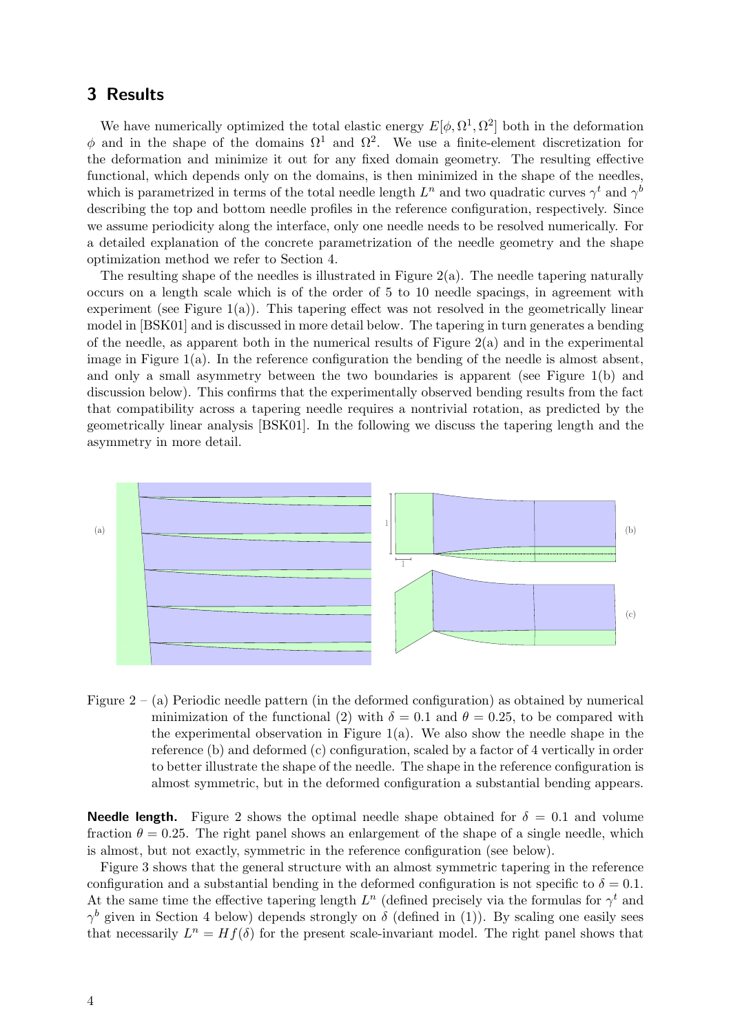## 3 Results

We have numerically optimized the total elastic energy  $E[\phi, \Omega^1, \Omega^2]$  both in the deformation  $\phi$  and in the shape of the domains  $\Omega$ <sup>1</sup> and  $\Omega$ <sup>2</sup>. We use a finite-element discretization for the deformation and minimize it out for any fixed domain geometry. The resulting effective functional, which depends only on the domains, is then minimized in the shape of the needles, which is parametrized in terms of the total needle length  $L^n$  and two quadratic curves  $\gamma^t$  and  $\gamma^t$ describing the top and bottom needle profiles in the reference configuration, respectively. Since we assume periodicity along the interface, only one needle needs to be resolved numerically. For a detailed explanation of the concrete parametrization of the needle geometry and the shape optimization method we refer to Section 4.

The resulting shape of the needles is illustrated in Figure  $2(a)$ . The needle tapering naturally occurs on a length scale which is of the order of 5 to 10 needle spacings, in agreement with experiment (see Figure  $1(a)$ ). This tapering effect was not resolved in the geometrically linear model in [BSK01] and is discussed in more detail below. The tapering in turn generates a bending of the needle, as apparent both in the numerical results of Figure  $2(a)$  and in the experimental image in Figure  $1(a)$ . In the reference configuration the bending of the needle is almost absent, and only a small asymmetry between the two boundaries is apparent (see Figure 1(b) and discussion below). This confirms that the experimentally observed bending results from the fact that compatibility across a tapering needle requires a nontrivial rotation, as predicted by the geometrically linear analysis [BSK01]. In the following we discuss the tapering length and the asymmetry in more detail.



Figure  $2 - (a)$  Periodic needle pattern (in the deformed configuration) as obtained by numerical minimization of the functional (2) with  $\delta = 0.1$  and  $\theta = 0.25$ , to be compared with the experimental observation in Figure  $1(a)$ . We also show the needle shape in the reference (b) and deformed (c) configuration, scaled by a factor of 4 vertically in order to better illustrate the shape of the needle. The shape in the reference configuration is almost symmetric, but in the deformed configuration a substantial bending appears.

**Needle length.** Figure 2 shows the optimal needle shape obtained for  $\delta = 0.1$  and volume fraction  $\theta = 0.25$ . The right panel shows an enlargement of the shape of a single needle, which is almost, but not exactly, symmetric in the reference configuration (see below).

Figure 3 shows that the general structure with an almost symmetric tapering in the reference configuration and a substantial bending in the deformed configuration is not specific to  $\delta = 0.1$ . At the same time the effective tapering length  $L<sup>n</sup>$  (defined precisely via the formulas for  $\gamma<sup>t</sup>$  and  $\gamma^b$  given in Section 4 below) depends strongly on  $\delta$  (defined in (1)). By scaling one easily sees that necessarily  $L^n = Hf(\delta)$  for the present scale-invariant model. The right panel shows that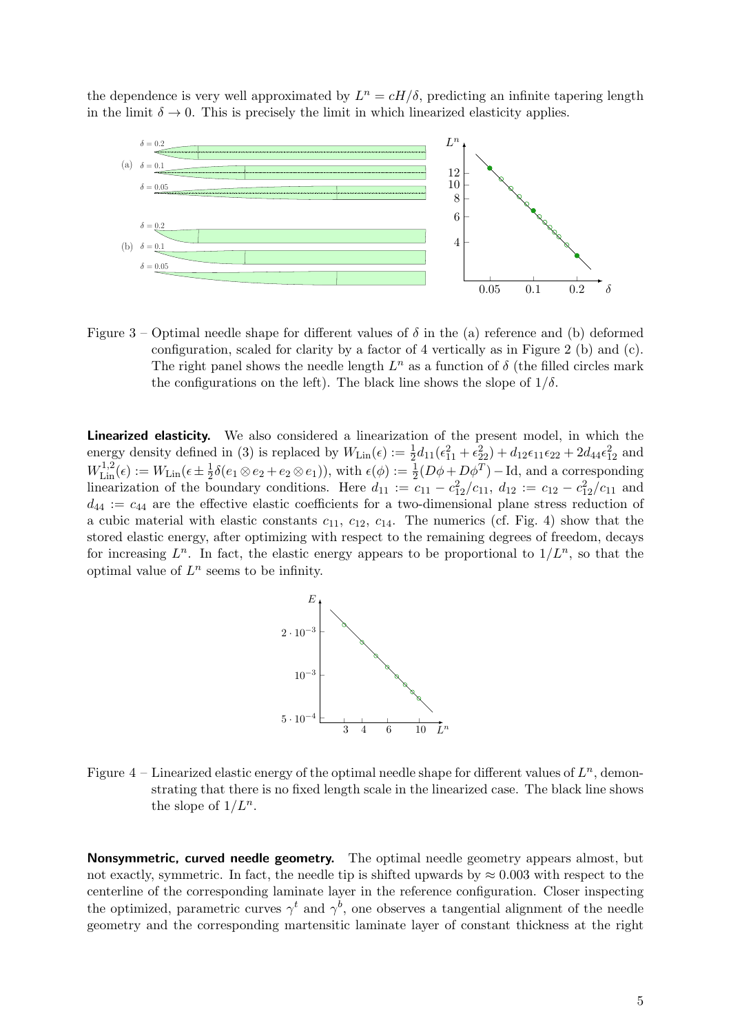the dependence is very well approximated by  $L^n = cH/\delta$ , predicting an infinite tapering length in the limit  $\delta \to 0$ . This is precisely the limit in which linearized elasticity applies.



Figure 3 – Optimal needle shape for different values of  $\delta$  in the (a) reference and (b) deformed configuration, scaled for clarity by a factor of 4 vertically as in Figure 2 (b) and (c). The right panel shows the needle length  $L^n$  as a function of  $\delta$  (the filled circles mark the configurations on the left). The black line shows the slope of  $1/\delta$ .

Linearized elasticity. We also considered a linearization of the present model, in which the energy density defined in (3) is replaced by  $W_{\text{Lin}}(\epsilon) := \frac{1}{2}d_{11}(\epsilon_{11}^2 + \epsilon_{22}^2) + d_{12}\epsilon_{11}\epsilon_{22} + 2d_{44}\epsilon_{12}^2$  and  $W^{1,2}_{\text{Lin}}(\epsilon) := W_{\text{Lin}}(\epsilon \pm \frac{1}{2})$  $\frac{1}{2}\delta(e_1 \otimes e_2 + e_2 \otimes e_1)$ , with  $\epsilon(\phi) := \frac{1}{2}(D\phi + D\phi^T) - \text{Id}$ , and a corresponding linearization of the boundary conditions. Here  $d_{11} := c_{11} - c_{12}^2/c_{11}$ ,  $d_{12} := c_{12} - c_{12}^2/c_{11}$  and  $d_{44} := c_{44}$  are the effective elastic coefficients for a two-dimensional plane stress reduction of a cubic material with elastic constants  $c_{11}$ ,  $c_{12}$ ,  $c_{14}$ . The numerics (cf. Fig. 4) show that the stored elastic energy, after optimizing with respect to the remaining degrees of freedom, decays for increasing  $L^n$ . In fact, the elastic energy appears to be proportional to  $1/L^n$ , so that the optimal value of  $L^n$  seems to be infinity.



Figure  $4$  – Linearized elastic energy of the optimal needle shape for different values of  $L^n$ , demonstrating that there is no fixed length scale in the linearized case. The black line shows the slope of  $1/L^n$ .

Nonsymmetric, curved needle geometry. The optimal needle geometry appears almost, but not exactly, symmetric. In fact, the needle tip is shifted upwards by  $\approx 0.003$  with respect to the centerline of the corresponding laminate layer in the reference configuration. Closer inspecting the optimized, parametric curves  $\gamma^t$  and  $\gamma^b$ , one observes a tangential alignment of the needle geometry and the corresponding martensitic laminate layer of constant thickness at the right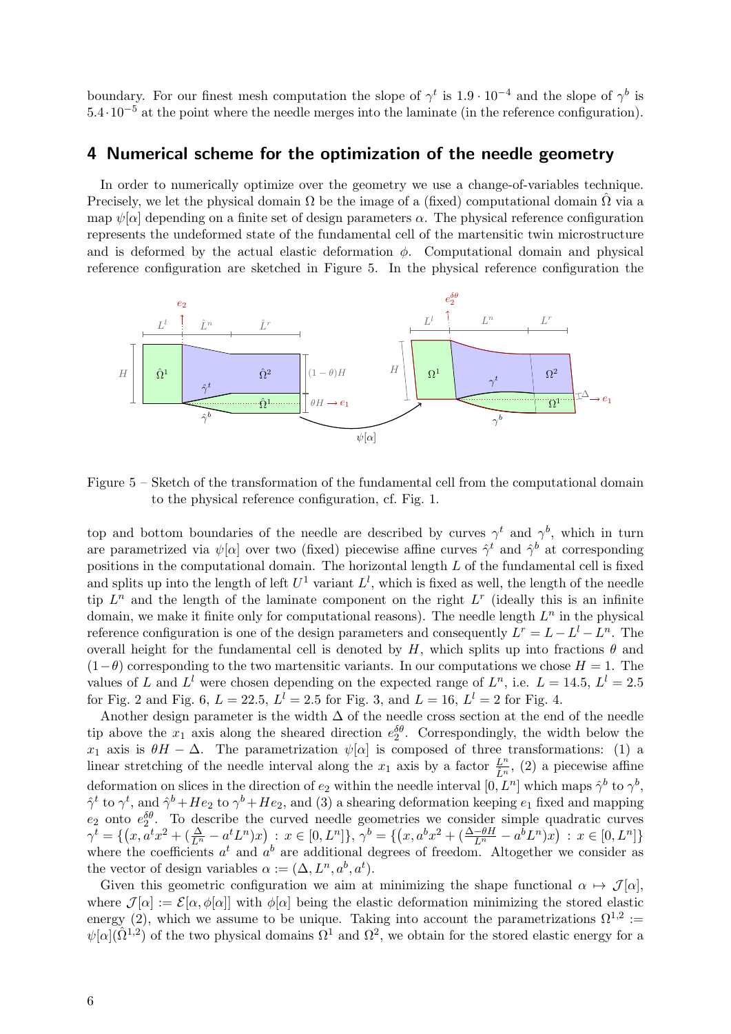boundary. For our finest mesh computation the slope of  $\gamma^t$  is 1.9 · 10<sup>-4</sup> and the slope of  $\gamma^b$  is 5.4·10−<sup>5</sup> at the point where the needle merges into the laminate (in the reference configuration).

### 4 Numerical scheme for the optimization of the needle geometry

In order to numerically optimize over the geometry we use a change-of-variables technique. Precisely, we let the physical domain  $\Omega$  be the image of a (fixed) computational domain  $\Omega$  via a map  $\psi[\alpha]$  depending on a finite set of design parameters  $\alpha$ . The physical reference configuration represents the undeformed state of the fundamental cell of the martensitic twin microstructure and is deformed by the actual elastic deformation  $\phi$ . Computational domain and physical reference configuration are sketched in Figure 5. In the physical reference configuration the



Figure 5 – Sketch of the transformation of the fundamental cell from the computational domain to the physical reference configuration, cf. Fig. 1.

top and bottom boundaries of the needle are described by curves  $\gamma^t$  and  $\gamma^b$ , which in turn are parametrized via  $\psi[\alpha]$  over two (fixed) piecewise affine curves  $\hat{\gamma}^t$  and  $\hat{\gamma}^b$  at corresponding positions in the computational domain. The horizontal length L of the fundamental cell is fixed and splits up into the length of left  $U^1$  variant  $L^l$ , which is fixed as well, the length of the needle tip  $L^n$  and the length of the laminate component on the right  $L^r$  (ideally this is an infinite domain, we make it finite only for computational reasons). The needle length  $L^n$  in the physical reference configuration is one of the design parameters and consequently  $L^r = L - L^l - L^n$ . The overall height for the fundamental cell is denoted by H, which splits up into fractions  $\theta$  and  $(1-\theta)$  corresponding to the two martensitic variants. In our computations we chose  $H = 1$ . The values of L and  $L^l$  were chosen depending on the expected range of  $L^n$ , i.e.  $L = 14.5, L^l = 2.5$ for Fig. 2 and Fig. 6,  $L = 22.5$ ,  $L^l = 2.5$  for Fig. 3, and  $L = 16$ ,  $L^l = 2$  for Fig. 4.

Another design parameter is the width  $\Delta$  of the needle cross section at the end of the needle tip above the  $x_1$  axis along the sheared direction  $e_2^{\delta\theta}$ . Correspondingly, the width below the x<sub>1</sub> axis is  $\theta$ H −  $\Delta$ . The parametrization  $\psi[\alpha]$  is composed of three transformations: (1) a linear stretching of the needle interval along the  $x_1$  axis by a factor  $\frac{L^n}{\hat{L}^n}$ , (2) a piecewise affine deformation on slices in the direction of  $e_2$  within the needle interval  $[0, L<sup>n</sup>]$  which maps  $\hat{\gamma}^b$  to  $\gamma^b$ ,  $\hat{\gamma}^t$  to  $\gamma^t$ , and  $\hat{\gamma}^b + He_2$  to  $\gamma^b + He_2$ , and (3) a shearing deformation keeping  $e_1$  fixed and mapping  $e_2$  onto  $e_2^{\delta\theta}$ . To describe the curved needle geometries we consider simple quadratic curves  $\gamma^t = \{ (x, a^t x^2 + (\frac{\Delta}{L^n} - a^t L^n)x) : x \in [0, L^n] \}, \gamma^b = \{ (x, a^b x^2 + (\frac{\Delta - \theta H}{L^n} - a^b L^n)x) : x \in [0, L^n] \}$ where the coefficients  $a^t$  and  $a^b$  are additional degrees of freedom. Altogether we consider as the vector of design variables  $\alpha := (\Delta, L^n, a^b, a^t)$ .

Given this geometric configuration we aim at minimizing the shape functional  $\alpha \mapsto \mathcal{J}[\alpha],$ where  $\mathcal{J}[\alpha] := \mathcal{E}[\alpha, \phi[\alpha]]$  with  $\phi[\alpha]$  being the elastic deformation minimizing the stored elastic energy (2), which we assume to be unique. Taking into account the parametrizations  $\Omega^{1,2}$  :=  $\psi[\alpha](\hat{\Omega}^{1,2})$  of the two physical domains  $\Omega^1$  and  $\Omega^2$ , we obtain for the stored elastic energy for a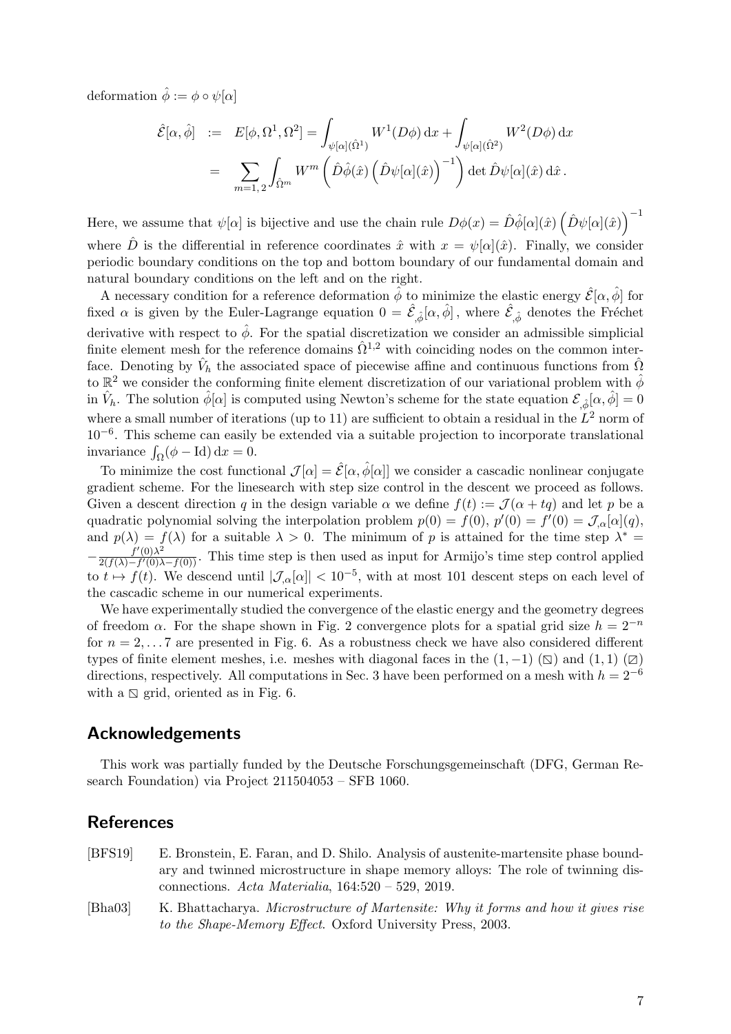deformation  $\hat{\phi} := \phi \circ \psi[\alpha]$ 

$$
\hat{\mathcal{E}}[\alpha, \hat{\phi}] := E[\phi, \Omega^1, \Omega^2] = \int_{\psi[\alpha](\hat{\Omega}^1)} W^1(D\phi) dx + \int_{\psi[\alpha](\hat{\Omega}^2)} W^2(D\phi) dx
$$
  
= 
$$
\sum_{m=1,2} \int_{\hat{\Omega}^m} W^m \left( \hat{D}\hat{\phi}(\hat{x}) \left( \hat{D}\psi[\alpha](\hat{x}) \right)^{-1} \right) \det \hat{D}\psi[\alpha](\hat{x}) d\hat{x}.
$$

Here, we assume that  $\psi[\alpha]$  is bijective and use the chain rule  $D\phi(x) = \hat{D}\hat{\phi}[\alpha](\hat{x}) \left(\hat{D}\psi[\alpha](\hat{x})\right)^{-1}$ where  $\hat{D}$  is the differential in reference coordinates  $\hat{x}$  with  $x = \psi[\alpha](\hat{x})$ . Finally, we consider periodic boundary conditions on the top and bottom boundary of our fundamental domain and

natural boundary conditions on the left and on the right. A necessary condition for a reference deformation  $\hat{\phi}$  to minimize the elastic energy  $\hat{\mathcal{E}}[\alpha,\hat{\phi}]$  for fixed  $\alpha$  is given by the Euler-Lagrange equation  $0 = \hat{\mathcal{E}}_{,\hat{\phi}}[\alpha,\hat{\phi}]$ , where  $\hat{\mathcal{E}}_{,\hat{\phi}}$  denotes the Fréchet derivative with respect to  $\hat{\phi}$ . For the spatial discretization we consider an admissible simplicial finite element mesh for the reference domains  $\hat{\Omega}^{1,2}$  with coinciding nodes on the common interface. Denoting by  $\hat{V}_h$  the associated space of piecewise affine and continuous functions from  $\hat{\Omega}$ to  $\mathbb{R}^2$  we consider the conforming finite element discretization of our variational problem with  $\hat{\phi}$ in  $\hat{V}_h$ . The solution  $\hat{\phi}[\alpha]$  is computed using Newton's scheme for the state equation  $\mathcal{E}_{,\hat{\phi}}[\alpha,\hat{\phi}] = 0$ where a small number of iterations (up to 11) are sufficient to obtain a residual in the  $L^2$  norm of 10−<sup>6</sup> . This scheme can easily be extended via a suitable projection to incorporate translational invariance  $\int_{\Omega} (\phi - \text{Id}) \, \mathrm{d}x = 0.$ 

To minimize the cost functional  $\mathcal{J}[\alpha] = \hat{\mathcal{E}}[\alpha, \hat{\phi}[\alpha]]$  we consider a cascadic nonlinear conjugate gradient scheme. For the linesearch with step size control in the descent we proceed as follows. Given a descent direction q in the design variable  $\alpha$  we define  $f(t) := \mathcal{J}(\alpha + tq)$  and let p be a quadratic polynomial solving the interpolation problem  $p(0) = f(0)$ ,  $p'(0) = f'(0) = \mathcal{J}_{\alpha}[\alpha](q)$ , and  $p(\lambda) = f(\lambda)$  for a suitable  $\lambda > 0$ . The minimum of p is attained for the time step  $\lambda^* =$  $-\frac{f'(0)\lambda^2}{2(f(\lambda)-f'(0))}$  $\frac{f(0)}{2(f(\lambda)-f'(0)\lambda-f(0))}$ . This time step is then used as input for Armijo's time step control applied to  $t \mapsto f(t)$ . We descend until  $|\mathcal{J}_{\alpha}[\alpha]| < 10^{-5}$ , with at most 101 descent steps on each level of the cascadic scheme in our numerical experiments.

We have experimentally studied the convergence of the elastic energy and the geometry degrees of freedom  $\alpha$ . For the shape shown in Fig. 2 convergence plots for a spatial grid size  $h = 2^{-n}$ for  $n = 2, \ldots 7$  are presented in Fig. 6. As a robustness check we have also considered different types of finite element meshes, i.e. meshes with diagonal faces in the  $(1, -1)$  ( $\boxtimes$ ) and  $(1, 1)$  ( $\boxtimes$ ) directions, respectively. All computations in Sec. 3 have been performed on a mesh with  $h = 2^{-6}$ with a  $\Box$  grid, oriented as in Fig. 6.

### Acknowledgements

This work was partially funded by the Deutsche Forschungsgemeinschaft (DFG, German Research Foundation) via Project 211504053 – SFB 1060.

### References

- [BFS19] E. Bronstein, E. Faran, and D. Shilo. Analysis of austenite-martensite phase boundary and twinned microstructure in shape memory alloys: The role of twinning disconnections. Acta Materialia, 164:520 – 529, 2019.
- [Bha03] K. Bhattacharya. Microstructure of Martensite: Why it forms and how it gives rise to the Shape-Memory Effect. Oxford University Press, 2003.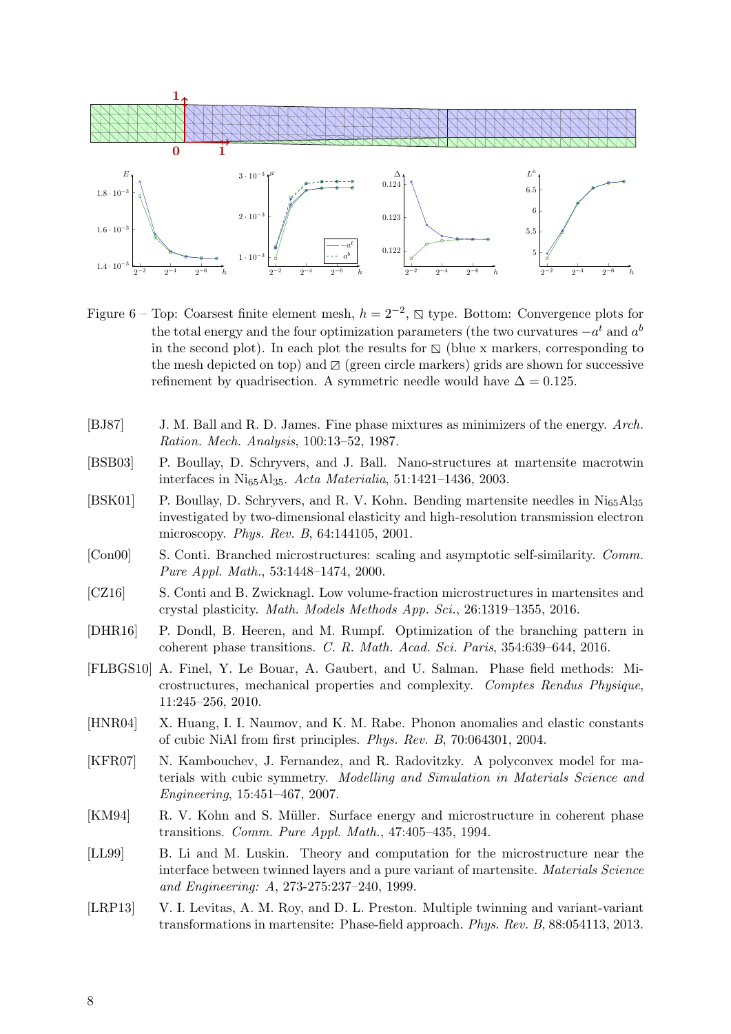

Figure 6 – Top: Coarsest finite element mesh,  $h = 2^{-2}$ ,  $\Box$  type. Bottom: Convergence plots for the task of the task of the task of the task of the task of the task of the task of the task of the task of the task of the the total energy and the four optimization parameters (the two curvatures  $-a^t$  and  $a^t$ in the second plot). In each plot the results for  $\Delta$  (blue x markers, corresponding to the mesh depicted on top) and  $\mathbb{Z}$  (green circle markers) grids are shown for successive refinement by quadrisection. A symmetric needle would have  $\Delta = 0.125$ .

- [BJ87] J. M. Ball and R. D. James. Fine phase mixtures as minimizers of the energy. Arch. Ration. Mech. Analysis, 100:13–52, 1987.
- [BSB03] P. Boullay, D. Schryvers, and J. Ball. Nano-structures at martensite macrotwin interfaces in Ni65Al35. Acta Materialia, 51:1421–1436, 2003.
- [BSK01] P. Boullay, D. Schryvers, and R. V. Kohn. Bending martensite needles in Ni65Al<sup>35</sup> investigated by two-dimensional elasticity and high-resolution transmission electron microscopy. Phys. Rev. B, 64:144105, 2001.
- [Con00] S. Conti. Branched microstructures: scaling and asymptotic self-similarity. Comm. Pure Appl. Math., 53:1448–1474, 2000.
- [CZ16] S. Conti and B. Zwicknagl. Low volume-fraction microstructures in martensites and crystal plasticity. Math. Models Methods App. Sci., 26:1319–1355, 2016.
- [DHR16] P. Dondl, B. Heeren, and M. Rumpf. Optimization of the branching pattern in coherent phase transitions. C. R. Math. Acad. Sci. Paris, 354:639–644, 2016.
- [FLBGS10] A. Finel, Y. Le Bouar, A. Gaubert, and U. Salman. Phase field methods: Microstructures, mechanical properties and complexity. Comptes Rendus Physique, 11:245–256, 2010.
- [HNR04] X. Huang, I. I. Naumov, and K. M. Rabe. Phonon anomalies and elastic constants of cubic NiAl from first principles. Phys. Rev. B, 70:064301, 2004.
- [KFR07] N. Kambouchev, J. Fernandez, and R. Radovitzky. A polyconvex model for materials with cubic symmetry. Modelling and Simulation in Materials Science and Engineering, 15:451–467, 2007.
- [KM94] R. V. Kohn and S. Müller. Surface energy and microstructure in coherent phase transitions. Comm. Pure Appl. Math., 47:405–435, 1994.
- [LL99] B. Li and M. Luskin. Theory and computation for the microstructure near the interface between twinned layers and a pure variant of martensite. Materials Science and Engineering: A, 273-275:237–240, 1999.
- [LRP13] V. I. Levitas, A. M. Roy, and D. L. Preston. Multiple twinning and variant-variant transformations in martensite: Phase-field approach. Phys. Rev. B, 88:054113, 2013.